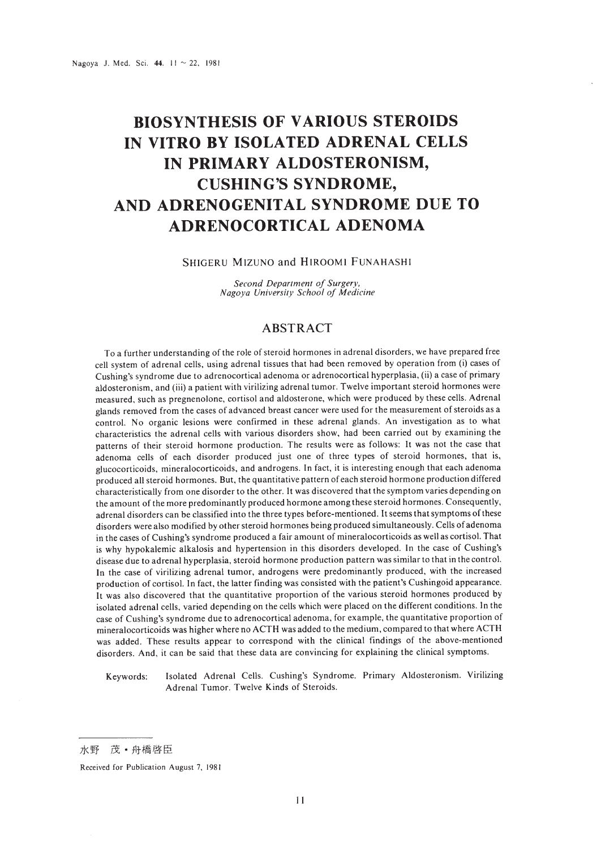# **BIOSYNTHESIS OF VARIOUS STEROIDS IN VITRO BY ISOLATED ADRENAL CELLS IN PRIMARY ALDOSTERONISM, CUSHING'S SYNDROME, AND ADRENOGENITAL SYNDROME DUE TO ADRENOCORTICAL ADENOMA**

#### SHIGERU MIZUNO and HIROOMI FUNAHASHI

*Second Department of Surgery, Nagoya University School of Medicine*

## ABSTRACT

To a further understanding of the role of steroid hormones in adrenal disorders, we have prepared free cell system of adrenal cells, using adrenal tissues thai had been removed by operation from (i) cases of Cushing's syndrome due to adrenocortical adenoma or adrenocortical hyperplasia, (ii) a case of primary aldosteronism, and (iii) a patient with virilizing adrenal tumor. Twelve important steroid hormones were measured, such as pregnenolone, cortisol and aldosterone, which were produced by these cells. Adrenal glands removed from the cases of advanced breast cancer were used for the measurement of steroids as a control. No organic lesions were confirmed in these adrenal glands. An investigation as to what characteristics the adrenal cells with various disorders show, had been carried out by examining the patterns of their steroid hormone production. The results were as follows: It was not the case that adenoma cells of each disorder produced just one of three types of steroid hormones, that is, glucocorticoids, mineralocorticoids, and androgens. In fact, it is interesting enough that each adenoma produced all steroid hormones. But, the quantitative pattern of each steroid hormone production differed characteristically from one disorder to the other. It was discovered that the symptom varies depending on the amount of the more predominantly produced hormone among these steroid hormones. Consequently, adrenal disorders can be classified into the three types before-mentioned. It seems that symptoms of these disorders were also modified by other steroid hormones being produced simultaneously. Cells of adenoma in the cases of Cushing's syndrome produced a fair amount of mineralocorticoids as well as cortisol. That is why hypokalemic alkalosis and hypertension in this disorders developed. In the case of Cushing's disease due to adrenal hyperplasia, steroid hormone production pattern was similar to that in the control. In the case of virilizing adrenal tumor, androgens were predominantly produced, with the increased production of cortisol. In fact, the latter finding was consisted with the patient's Cushingoid appearance. It was also discovered that the quantitative proportion of the various steroid hormones produced by isolated adrenal cells, varied depending on the cells which were placed on the different conditions. In the case of Cushing's syndrome due to adrenocortical adenoma, for example, the quantitative proportion of mineralocorticoids was higher where no ACTH was added to the medium, compared to that where ACTH was added. These results appear to correspond with the clinical findings of the above-mentioned disorders. And, it can be said that these data are convincing for explaining the clinical symptoms.

Keywords: Isolated Adrenal Cells. Cushing's Syndrome. Primary Aldosteronism. Virilizing Adrenal Tumor. Twelve Kinds of Steroids.

Received for Publication August 7, 1981

水野 茂·舟橋啓臣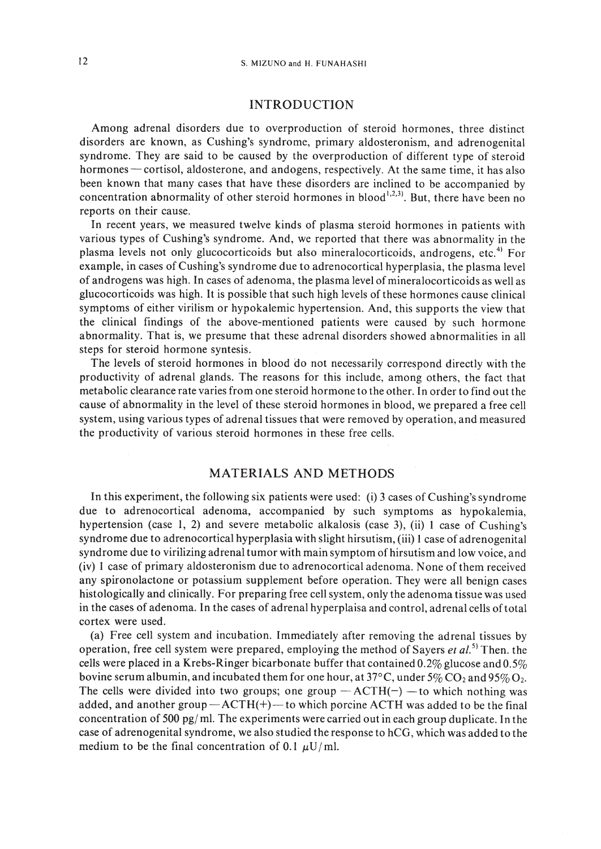## INTRODUCTION

Among adrenal disorders due to overproduction of steroid hormones, three distinct disorders are known, as Cushing's syndrome, primary aldosteronism, and adrenogenital syndrome. They are said to be caused by the overproduction of different type of steroid hormones - cortisol, aldosterone, and andogens, respectively. At the same time, it has also been known that many cases that have these disorders are inclined to be accompanied by concentration abnormality of other steroid hormones in blood<sup>1,2,3)</sup>. But, there have been no reports on their cause.

In recent years, we measured twelve kinds of plasma steroid hormones in patients with various types of Cushing's syndrome. And, we reported that there was abnormality in the plasma levels not only glucocorticoids but also mineralocorticoids, androgens, etc.<sup>4)</sup> For example, in cases of Cushing's syndrome due to adrenocortical hyperplasia, the plasma level of androgens was high. In cases of adenoma, the plasma level of mineralocorticoids as well as glucocorticoids was high. It is possible that such high levels of these hormones cause clinical symptoms of either virilism or hypokalemic hypertension. And, this supports the view that the clinical findings of the above-mentioned patients were caused by such hormone abnormality. That is, we presume that these adrenal disorders showed abnormalities in all steps for steroid hormone syntesis.

The levels of steroid hormones in blood do not necessarily correspond directly with the productivity of adrenal glands. The reasons for this include, among others, the fact that metabolic clearance rate varies from one steroid hormone to the other. In order to find out the cause of abnormality in the level of these steroid hormones in blood, we prepared a free cell system, using various types of adrenal tissues that were removed by operation, and measured the productivity of various steroid hormones in these free cells.

## MATERIALS AND METHODS

In this experiment, the following six patients were used: (i) 3 cases of Cushing's syndrome due to adrenocortical adenoma, accompanied by such symptoms as hypokalemia, hypertension (case I, 2) and severe metabolic alkalosis (case 3), (ii) I case of Cushing's syndrome due to adrenocortical hyperplasia with slight hirsutism, (iii) 1 case of adrenogenital syndrome due to virilizing adrenal tumor with main symptom of hirsutism and low voice, and (iv) I case of primary aldosteronism due to adrenocortical adenoma. None of them received any spironolactone or potassium supplement before operation. They were all benign cases histologically and clinically. For preparing free cell system, only the adenoma tissue was used in the cases of adenoma. In the cases of adrenal hyperplaisa and control, adrenal cells oftotal cortex were used.

(a) Free cell system and incubation. Immediately after removing the adrenal tissues by operation, free cell system were prepared, employing the method of Sayers *et al.*<sup>5)</sup> Then. the cells were placed in a Krebs-Ringer bicarbonate buffer that contained  $0.2\%$  glucose and  $0.5\%$ bovine serum albumin, and incubated them for one hour, at 37°C, under 5% CO<sub>2</sub> and 95% O<sub>2</sub>. The cells were divided into two groups; one group  $-$  ACTH( $-$ )  $-$  to which nothing was added, and another group $-ACTH(+)$ -to which porcine ACTH was added to be the final concentration of 500 pg/ m!. The experiments were carried out in each group duplicate. In the case of adrenogenital syndrome, we also studied the response to hCG, which was added to the medium to be the final concentration of 0.1  $\mu$ U/ml.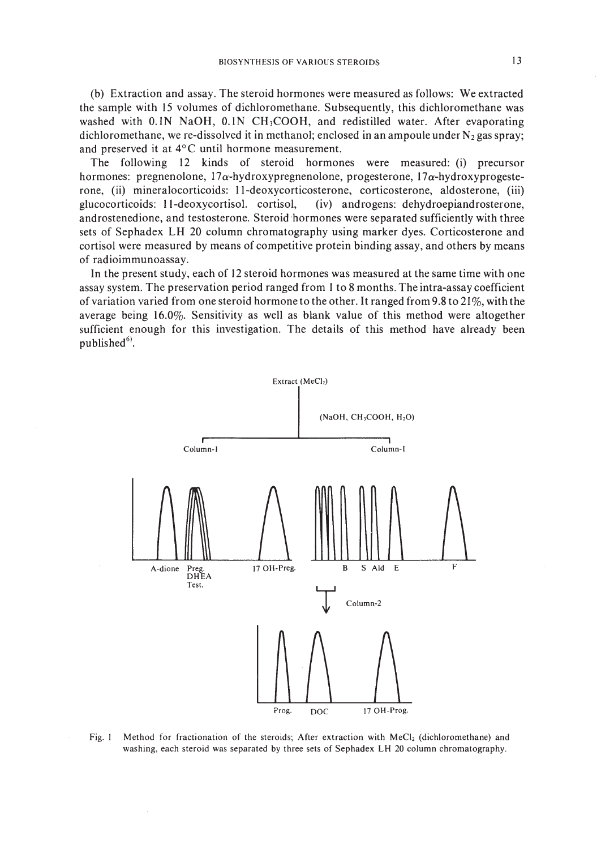(b) Extraction and assay. The steroid hormones were measured as follows: We extracted the sample with 15 volumes of dichloromethane. Subsequently, this dichloromethane was washed with  $0.1N$  NaOH,  $0.1N$  CH<sub>3</sub>COOH, and redistilled water. After evaporating dichloromethane, we re-dissolved it in methanol; enclosed in an ampoule under  $N_2$  gas spray; and preserved it at 4°C until hormone measurement.

The following 12 kinds of steroid hormones were measured: (i) precursor hormones: pregnenolone,  $17\alpha$ -hydroxypregnenolone, progesterone,  $17\alpha$ -hydroxyprogesterone, (ii) mineralocorticoids: II-deoxycorticosterone, corticosterone, aldosterone, (iii) glucocorticoids: II-deoxycortisol. cortisol, (iv) androgens: dehydroepiandrosterone, androstenedione, and testosterone. Steroid hormones were separated sufficiently with three sets of Sephadex **LH** 20 column chromatography using marker dyes. Corticosterone and cortisol were measured by means of competitive protein binding assay, and others by means of radioimmunoassay.

In the present study, each of 12 steroid hormones was measured at the same time with one assay system. The preservation period ranged from I to 8 months. The intra-assay coefficient of variation varied from one steroid hormone to the other. It ranged from 9.8 to 21%, with the average being 16.0%. Sensitivity as well as blank value of this method were altogether sufficient enough for this investigation. The details of this method have already been published<sup>61</sup>.



Fig. 1 Method for fractionation of the steroids; After extraction with MeCl<sub>2</sub> (dichloromethane) and washing, each steroid was separated by three sets of Sephadex LH 20 column chromatography.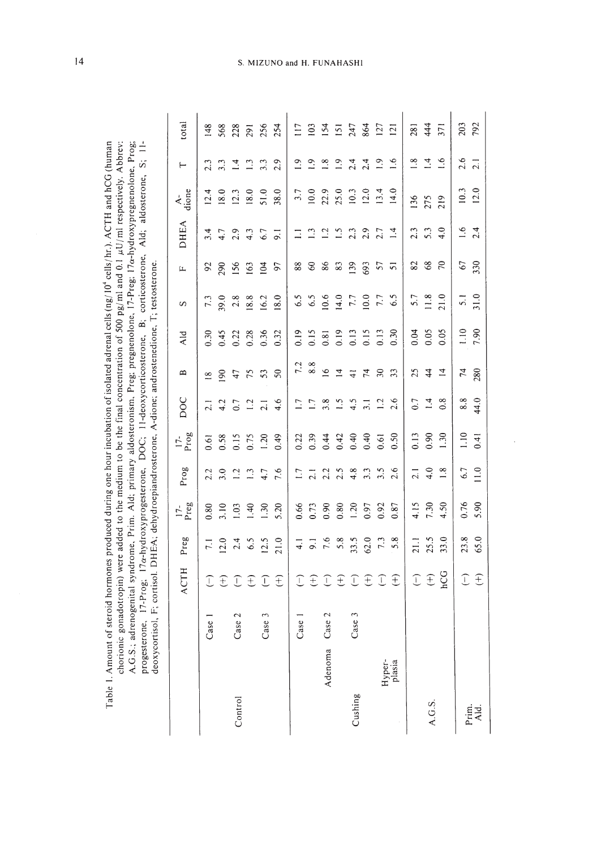|               |            | <b>ACTH</b>                 | Preg            | $17$ -<br>Preg | Prog            | $17-$<br>Prog | <b>DOC</b>       | $\mathbf{\Omega}$ | Ald              | S                | Щ                   | <b>DHEA</b>      | $\frac{A}{\text{dion}}$ | $\vdash$         | total          |
|---------------|------------|-----------------------------|-----------------|----------------|-----------------|---------------|------------------|-------------------|------------------|------------------|---------------------|------------------|-------------------------|------------------|----------------|
|               | Case       | $\bigcap$                   | $\overline{71}$ | 0.80           | 2.2             | 0.61          | $\overline{21}$  | $\approx$         | 0.30             | 7.3              | 92                  | 3.4              | 12.4                    | 2.3              | 148            |
|               |            | $\widehat{+}$               | 12.0            | 3.10           | 3.0             | 0.58          | 4.2              | 90                | 0.45             | 39.0             | 290                 | 4.7              | 18.0                    | 3.3              | 568            |
| Control       | Case 2     | $\bigcap$                   | 2.4             | 1.03           | $\overline{12}$ | 0.15          | $0.7\,$          | 47                | 0.22             | 2.8              | 156                 | 2.9              | 12.3                    | $\bar{a}$        | 228            |
|               |            |                             | 6.5             | 1.40           | $\mathbb{C}$    | 0.75          | 1.2              | 75                | 0.28             | 18.8             | 163                 | 4.3              | 18.0                    | $\mathbb{C}$     | 291            |
|               | 3<br>Case. | $\widehat{+}$ $\widehat{+}$ | 12.5            | 1.30           | 4.7             | 1.20          | $\overline{2.1}$ | 53                | 0.36             | 16.2             | 104                 | 6.7              | 51.0                    | 3.3              | 256            |
|               |            | $\widehat{+}$               | 21.0            | 5.20           | 7.6             | 0.49          | 4.6              | $\boldsymbol{S}$  | 0.32             | 18.0             | 56                  | $\overline{9}$ . | 38.0                    | 2.9              | 254            |
|               | Case       | $\widehat{\Gamma}$          | $\frac{1}{4}$   | 0.66           | 1.7             | 0.22          | 1.7              | 7.2               | 0.19             | 6.5              | 88                  | $\Xi$            | 3.7                     | $\overline{1.9}$ | 117            |
|               |            |                             | $\overline{9}$  | 0.73           | 2.1             | 0.39          | $\overline{1}$ . | 8.8               | 0.15             | 6.5              | $\pmb{\mathcal{S}}$ | $\mathbf{r}$     | 10.0                    | $\overline{1}$   | 103            |
| Adenoma       | Case 2     |                             | 7.6             | 0.90           | 2.2             | 0.44          | 3.8              | $\overline{16}$   | 0.81             | 10.6             | $86$                | 1.2              | 22.9                    | $\frac{8}{18}$   | 154            |
|               |            |                             | 5.8             | 0.80           | 2.5             | 0.42          | $\frac{5}{2}$    | $\overline{1}$    |                  | 14.0             | $83\,$              | $\tilde{S}$ .    | 25.0                    | $\overline{0}$   | 151            |
| Cushing       | Case 3     |                             | 33.5            | 1.20           | 4.8             | 0.40          | 4.5              | $\frac{4}{1}$     | $0.19$<br>$0.13$ | $7.7\,$          | 139                 | 2.3              | 10.3                    | 2.4              | 247            |
|               |            | ATATA                       | 62.0            | 0.97           | 3.3             | 0.40          | $\overline{3.1}$ | 74                | 0.15             | 10.0             | 693                 | 2.9              | 12.0                    | 2.4              | 864            |
| Hyper-        |            | $\bigcap$                   | $7.3\,$         | 0.92           | 3.5             | 0.61          | 1.2              | $30\,$            | 0.13             | $7.7\,$          | 57                  | 2.7              | 13.4                    | $\frac{1}{2}$    | 127            |
| plasia        |            | £                           | 5.8             | 0.87           | 2.6             | 0.50          | 2.6              | 33                | 0.30             | 6.5              | $\overline{5}$      | $\overline{14}$  | 14.0                    | $\overline{1.6}$ | $\overline{2}$ |
|               |            |                             | 21.1            | 4.15           | $\overline{c}$  | 0.13          | 0.7              | 25                | 0.04             | 5.7              | 82                  | 2.3              | 136                     | $\frac{8}{1}$    | 281            |
| A.G.S.        |            | <b>TE</b>                   | 25.5            | 7.30           | 4.0             | 0.90          | 1.4              | $\frac{4}{4}$     | 0.05             | 11.8             | 68                  | 5.3              | 275                     | $\overline{4}$   | 444            |
|               |            | hCG                         | 33.0            | 4.50           | 1.8             | 1.30          | 0.8              | $\overline{4}$    | 0.05             | 21.0             | $\approx$           | 4.0              | 219                     | $\frac{6}{1}$    | 371            |
|               |            | $\widehat{\mathbb{C}}$      | 23.8            | 0.76           | 6.7             | 1.10          | 8.8              | $\mathcal{L}$     | 1.10             | $\overline{5}$ . | 67                  | $\frac{6}{1}$    | 10.3                    | 2.6              | 203            |
| Prim.<br>Ald. |            | $\widehat{t}$               | 65.0            | 5.90           | 11.0            | 0.41          | 44.0             | 280               | 7.90             | 31.0             | 330                 | 2.4              | 12.0                    | $\overline{2.1}$ | 792            |

chorionic gonadotropin) were added to the medium to be the final concentration of 500 pg/ml and 0.1  $\mu$ U/ml respectively. Abbrev: Table 1. Amount of steroid hormones produced during one hour incubation of isolated adrenal cells (ng/10<sup>4</sup> cells/hr.). ACTH and hCG (human Table I. Amount of steroid hormones produced during one hour incubation of isolated adrenal cells (ng/ 10' cells/ hr.). ACTH and hCG (human chorionic gonadotropin) were added to the medium to be the final concentration of 500 pg/ml and 0.1  $\mu$ U/ml respectively. Abbrev: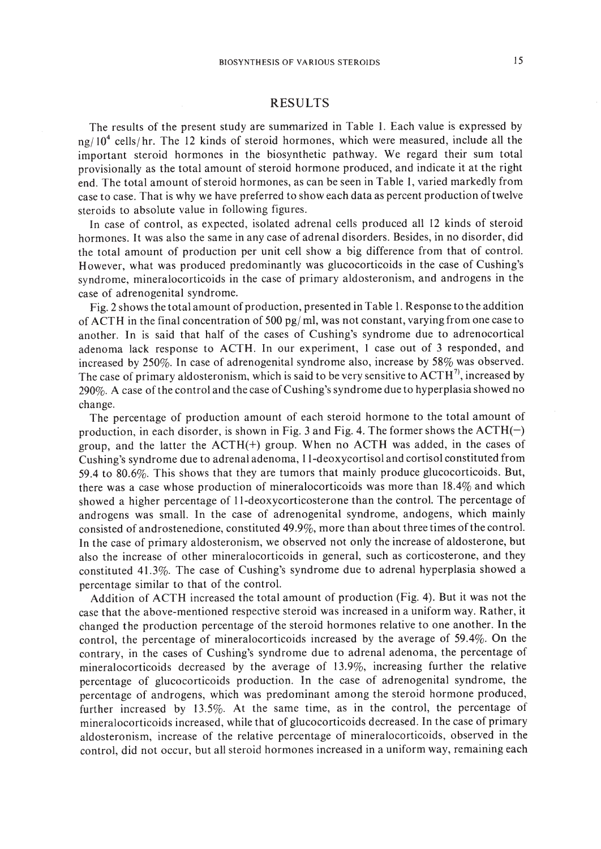## RESULTS

The results of the present study are summarized in Table I. Each value is expressed by  $ng/10^4$  cells/hr. The 12 kinds of steroid hormones, which were measured, include all the important steroid hormones in the biosynthetic pathway. We regard their sum total provisionally as the total amount of steroid hormone produced, and indicate it at the right end. The total amount ofsteroid hormones, as can be seen in Table I, varied markedly from case to case. That is why we have preferred to show each data as percent production oftwelve steroids to absolute value in following figures.

In case of control, as expected, isolated adrenal cells produced all 12 kinds of steroid hormones. It was also the same in any case of adrenal disorders. Besides, in no disorder, did the total amount of production per unit cell show a big difference from that of control. However, what was produced predominantly was glucocorticoids in the case of Cushing's syndrome, mineralocorticoids in the case of primary aldosteronism, and androgens in the case of adrenogenital syndrome.

Fig. 2 shows the total amount of production, presented in Table I. Response to the addition of ACTH in the final concentration of 500 pg/ ml, was not constant, varying from one case to another. In is said that half of the cases of Cushing's syndrome due to adrenocortical adenoma lack response to ACTH. In our experiment, I case out of 3 responded, and increased by 250%. In case of adrenogenital syndrome also, increase by 58% was observed. The case of primary aldosteronism, which is said to be very sensitive to  $\text{ACTH}^7$ , increased by 290%. A case of the control and the case of Cushing's syndrome due to hyperplasia showed no change.

The percentage of production amount of each steroid hormone to the total amount of production, in each disorder, is shown in Fig. 3 and Fig. 4. The former shows the  $ACTH(-)$ group, and the latter the  $ACTH(+)$  group. When no ACTH was added, in the cases of Cushing's syndrome due to adrenal adenoma, II-deoxycortisol and cortisol constituted from 59.4 to 80.6%. This shows that they are tumors that mainly produce glucocorticoids. But, there was a case whose production of mineralocorticoids was more than 18.4% and which showed a higher percentage of II-deoxycorticosterone than the control. The percentage of androgens was small. In the case of adrenogenital syndrome, andogens, which mainly consisted of androstenedione, constituted  $49.9\%$ , more than about three times of the control. In the case of primary aldosteronism, we observed not only the increase of aldosterone, but also the increase of other mineralocorticoids in general, such as corticosterone, and they constituted 41.3%. The case of Cushing's syndrome due to adrenal hyperplasia showed a percentage similar to that of the control.

Addition of ACTH increased the total amount of production (Fig. 4). But it was not the case that the above-mentioned respective steroid was increased in a uniform way. Rather, it changed the production percentage of the steroid hormones relative to one another. In the control, the percentage of mineralocorticoids increased by the average of 59.4%. On the contrary, in the cases of Cushing's syndrome due to adrenal adenoma, the percentage of mineralocorticoids decreased by the average of 13.9%, increasing further the relative percentage of glucocorticoids production. In the case of adrenogenital syndrome, the percentage of androgens, which was predominant among the steroid hormone produced, further increased by 13.5%. At the same time, as in the control, the percentage of mineralocorticoids increased, while that of glucocorticoids decreased. In the case of primary aldosteronism, increase of the relative percentage of mineralocorticoids, observed in the control, did not occur, but all steroid hormones increased in a uniform way, remaining each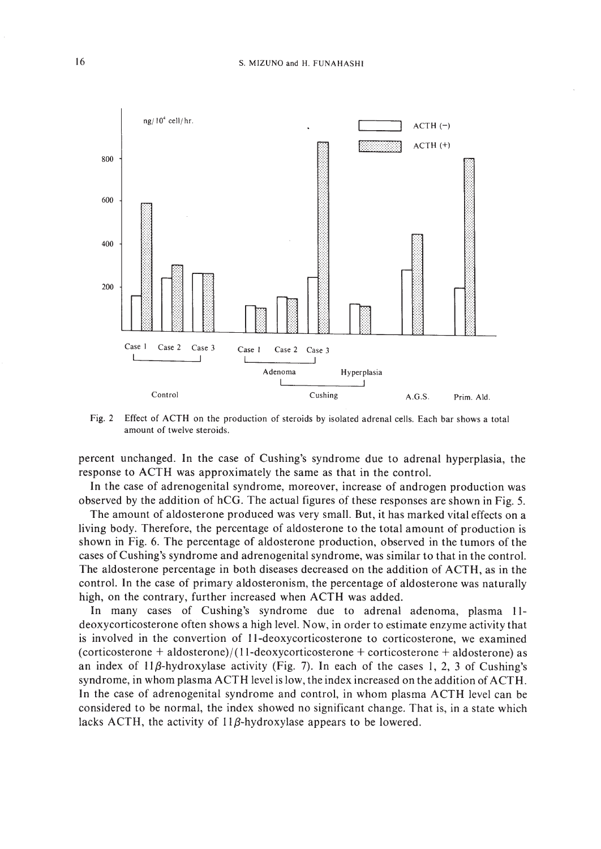

Fig. 2 Effect of ACTH on the production of steroids by isolated adrenal cells. Each bar shows a total amount of twelve steroids.

percent unchanged. In the case of Cushing's syndrome due to adrenal hyperplasia, the response to ACTH was approximately the same as that in the control.

**In** the case of adrenogenital syndrome, moreover, increase of androgen production was observed by the addition of hCG. The actual figures of these responses are shown in Fig. 5.

The amount of aldosterone produced was very small. But, it has marked vital effects on a living body. Therefore, the percentage of aldosterone to the total amount of production is shown in Fig. 6. The percentage of aldosterone production, observed in the tumors of the cases of Cushing's syndrome and adrenogenital syndrome, was similar to that in the control. The aldosterone percentage in both diseases decreased on the addition of ACTH, as in the control. In the case of primary aldosteronism, the percentage of aldosterone was naturally high, on the contrary, further increased when ACTH was added.

In many cases of Cushing's syndrome due to adrenal adenoma, plasma 11 deoxycorticosterone often shows a high level. Now, in order to estimate enzyme activity that is involved in the convertion of II-deoxycorticosterone to corticosterone, we examined  $(corticosterone + aldosterone)/(11-deoxycorticosterone + corticosterone + aldosterone)$  as an index of  $11\beta$ -hydroxylase activity (Fig. 7). In each of the cases 1, 2, 3 of Cushing's syndrome, in whom plasma ACTH level is low, the index increased on the addition of ACTH. In the case of adrenogenital syndrome and control, in whom plasma ACTH level can be considered to be normal, the index showed no significant change. That is, in a state which lacks ACTH, the activity of  $11\beta$ -hydroxylase appears to be lowered.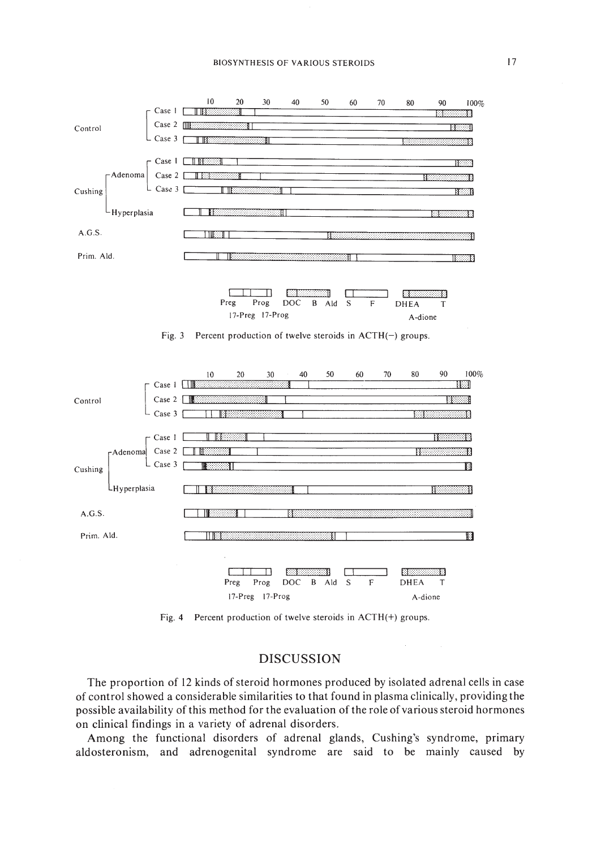#### **BIOSYNTHESIS OF VARIOUS STEROIDS**



Fig. 4 Percent production of twelve steroids in ACTH(+) groups.

## **DISCUSSION**

The proportion of 12 kinds of steroid hormones produced by isolated adrenal cells in case of control showed a considerable similarities to that found in plasma clinically, providing the possible availability of this method for the evaluation of the role of various steroid hormones on clinical findings in a variety of adrenal disorders.

Among the functional disorders of adrenal glands, Cushing's syndrome, primary aldosteronism, and adrenogenital syndrome are said to be mainly caused by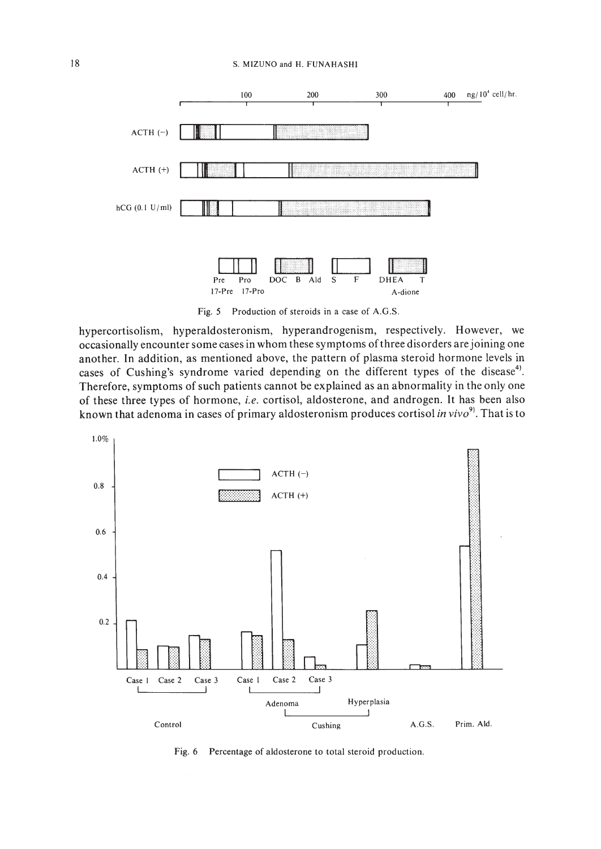#### S. MIZUNO and H. FUNAHASHI



Fig. 5 Production of steroids in a case of A.G.S.

hypercortisolism, hyperaldosteronism, hyperandrogenism, respectively. However, we occasionally encounter some cases in whom these symptoms of three disorders are joining one another. In addition, as mentioned above, the pattern of plasma steroid hormone levels in cases of Cushing's syndrome varied depending on the different types of the disease<sup>4)</sup>. Therefore, symptoms of such patients cannot be explained as an abnormality in the only one of these three types of hormone, i.e. cortisol, aldosterone, and androgen. It has been also known that adenoma in cases of primary aldosteronism produces cortisol in vivo<sup>9</sup>. That is to



Fig. 6 Percentage of aldosterone to total steroid production.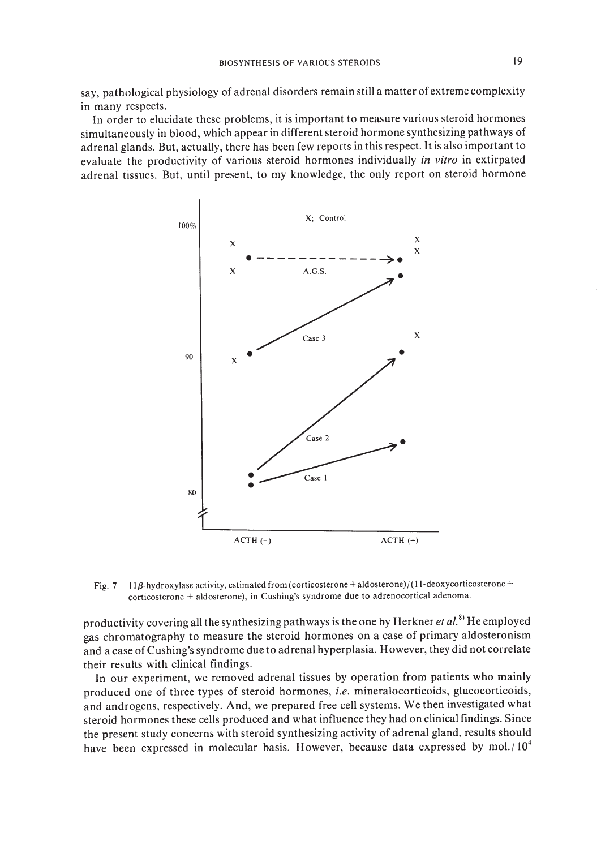say, pathological physiology of adrenal disorders remain still a matter of extreme complexity in many respects.

In order to elucidate these problems, it is important to measure various steroid hormones simultaneously in blood, which appear in different steroid hormone synthesizing pathways of adrenal glands. But, actually, there has been few reports in this respect. It is also important to evaluate the productivity of various steroid hormones individually *in vitro* in extirpated adrenal tissues. But, until present, to my knowledge, the only report on steroid hormone



Fig. 7 11 $\beta$ -hydroxylase activity, estimated from (corticosterone + aldosterone)/(11-deoxycorticosterone + corticosterone + aldosterone), in Cushing's syndrome due to adrenocortical adenoma.

productivity covering all the synthesizing pathways is the one by Herkner *et al*.<sup>8)</sup> He employed gas chromatography to measure the steroid hormones on a case of primary aldosteronism and a case ofCushing's syndrome due to adrenal hyperplasia. However, they did not correlate their results with clinical findings.

In our experiment, we removed adrenal tissues by operation from patients who mainly produced one of three types of steroid hormones, *i.e.* mineralocorticoids, glucocorticoids, and androgens, respectively. And, we prepared free cell systems. We then investigated what steroid hormones these cells produced and what influence they had on clinical findings. Since the present study concerns with steroid synthesizing activity of adrenal gland, results should have been expressed in molecular basis. However, because data expressed by mol./ $10^4$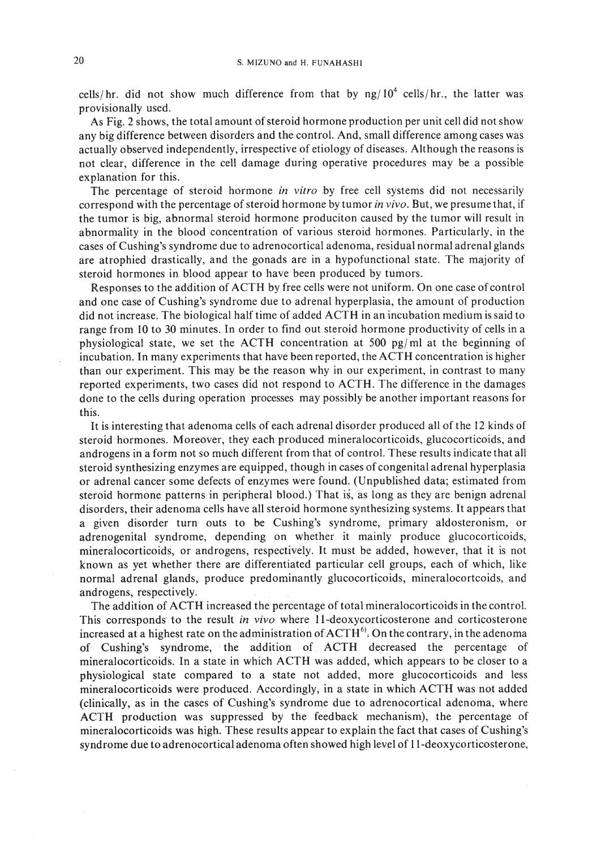cells/hr. did not show much difference from that by  $\frac{ng}{10^4}$  cells/hr., the latter was provisionally used.

As Fig. 2 shows, the total amount of steroid hormone production per unit cell did not show any big difference between disorders and the control. And, small difference among cases was actually observed independently, irrespective of etiology of diseases. Although the reasons is not clear, difference in the cell damage during operative procedures may be a possible explanation for this.

The percentage of steroid hormone *in vitro* by free cell systems did not necessarily correspond with the percentage of steroid hormone by tumor *in vivo*. But, we presume that, if the tumor is big, abnormal steroid hormone produciton caused by the tumor will result in abnormality in the blood concentration of various steroid hormones. Particularly, in the cases of Cushing's syndrome due to adrenocortical adenoma, residual normal adrenal glands are atrophied drastically, and the gonads are in a hypofunctional state. The majority of steroid hormones in blood appear to have been produced by tumors.

Responses to the addition of ACTH by free cells were not uniform. On one case of control and one case of Cushing's syndrome due to adrenal hyperplasia, the amount of production did not increase. The biological half time of added ACTH in an incubation medium is said to range from IO to 30 minutes. In order to find out steroid hormone productivity of cells in a physiological state, we set the ACTH concentration at 500 pg/ml at the beginning of incubation. In many experiments that have been reported, the ACTH concentration is higher than our experiment. This may be the reason why in our experiment, in contrast to many reported experiments, two cases did not respond to ACTH. The difference in the damages done to the cells during operation processes may possibly be another important reasons for this.

It is interesting that adenoma cells of each adrenal disorder produced all of the 12 kinds of steroid hormones. Moreover, they each produced mineralocorticoids, glucocorticoids, and androgens in a form not so much different from that of control. These results indicate that all steroid synthesizing enzymes are equipped, though in cases of congenital adrenal hyperplasia or adrenal cancer some defects of enzymes were found, (Unpublished data; estimated from steroid hormone patterns in peripheral blood.) That is, as long as they are benign adrenal disorders, their adenoma cells have all steroid hormone synthesizing systems. It appears that a given disorder turn outs to be Cushing's syndrome, primary aldosteronism, or adrenogenital syndrome, depending on whether it mainly produce glucocorticoids, mineralocorticoids, or androgens, respectively. It must be added, however, that it is not known as yet whether there are differentiated particular cell groups, each of which, like normal adrenal glands, produce predominantly glucocorticoids, mineralocortcoids, and androgens, respectively.

The addition of ACTH increased the percentage of total mineralocorticoids in the control. This corresponds to the result in *vivo* where 11-deoxycorticosterone and corticosterone increased at a highest rate on the administration of  $\mathrm{ACTH}^{6}$ . On the contrary, in the adenoma of Cushing's syndrome,· the addition of ACTH decreased the percentage of mineralocorticoids. In a state in which ACTH was added, which appears to be closer to a physiological state compared to a state not added, more glucocorticoids and less mineralocorticoids were produced. Accordingly, in a state in which ACTH was not added (clinically, as in the cases of Cushing's syndrome due to adrenocortical adenoma, where ACTH production was suppressed by the feedback mechanism), the percentage of mineralocorticoids was high. These results appear to explain the fact that cases of Cushing's syndrome due to adrenocortical adenoma often showed high level of II-deoxycorticosterone,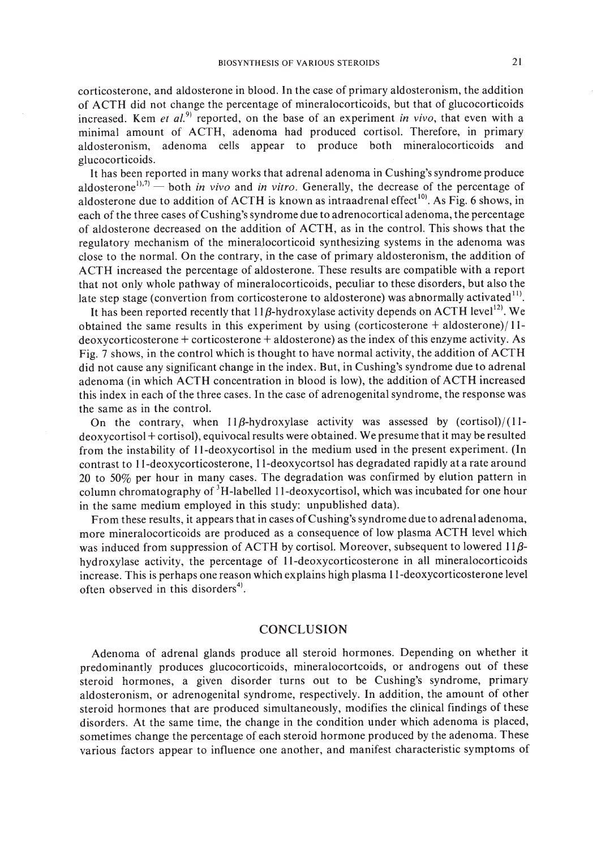corticosterone, and aldosterone in blood. In the case of primary aldosteronism, the addition of ACTH did not change the percentage of mineralocorticoids, but that of glucocorticoids increased. Kem *et al.*<sup>9</sup> reported, on the base of an experiment *in vivo*, that even with a minimal amount of ACTH, adenoma had produced cortisol. Therefore, in primary aldosteronism, adenoma cells appear to produce both mineralocorticoids and glucocorticoids.

It has been reported in many works that adrenal adenoma in Cushing's syndrome produce aldosterone<sup>1),7)</sup> - both *in vivo* and *in vitro*. Generally, the decrease of the percentage of aldosterone due to addition of ACTH is known as intraadrenal effect<sup>10</sup>. As Fig. 6 shows, in each of the three cases ofCushing's syndrome due to adrenocortical adenoma, the percentage of aldosterone decreased on the addition of ACTH, as in the control. This shows that the regulatory mechanism of the mineralocorticoid synthesizing systems in the adenoma was close to the normal. On the contrary, in the case of primary aldosteronism, the addition of ACTH increased the percentage of aldosterone. These results are compatible with a report that not only whole pathway of mineralocorticoids, peculiar to these disorders, but also the late step stage (convertion from corticosterone to aldosterone) was abnormally activated<sup>11</sup>.

It has been reported recently that  $11\beta$ -hydroxylase activity depends on ACTH level<sup>12</sup>. We obtained the same results in this experiment by using (corticosterone + aldosterone)/ I 1  $deoxy corticosterone + corticosterone + aldosterone)$  as the index of this enzyme activity. As Fig. 7 shows, in the control which is thought to have normal activity, the addition of ACTH did not cause any significant change in the index. But, in Cushing's syndrome due to adrenal adenoma (in which ACTH concentration in blood is low), the addition of ACTH increased this index in each of the three cases. In the case of adrenogenital syndrome, the response was the same as in the control.

On the contrary, when  $11\beta$ -hydroxylase activity was assessed by (cortisol)/(11deoxycortisol + cortisol), equivocal results were obtained. We presume that it may be resulted from the instability of Il-deoxycortisol in the medium used in the present experiment. (In contrast to II-deoxycorticosterone, ll-deoxycortsol has degradated rapidly at a rate around 20 to 50% per hour in many cases. The degradation was confirmed by elution pattern in column chromatography of <sup>3</sup>H-labelled 11-deoxycortisol, which was incubated for one hour in the same medium employed in this study: unpublished data).

From these results, it appears that in cases of Cushing's syndrome due to adrenal adenoma, more mineralocorticoids are produced as a consequence of low plasma ACTH level which was induced from suppression of ACTH by cortisol. Moreover, subsequent to lowered  $11\beta$ hydroxylase activity, the percentage of II-deoxycorticosterone in all mineralocorticoids increase. This is perhaps one reason which explains high plasma I I-deoxycorticosterone level often observed in this disorders $4$ .

## **CONCLUSION**

Adenoma of adrenal glands produce all steroid hormones. Depending on whether it predominantly produces glucocorticoids, mineralocortcoids, or androgens out of these steroid hormones, a given disorder turns out to be Cushing's syndrome, primary aldosteronism, or adrenogenital syndrome, respectively. In addition, the amount of other steroid hormones that are produced simultaneously, modifies the clinical findings of these disorders. At the same time, the change in the condition under which adenoma is placed, sometimes change the percentage of each steroid hormone produced by the adenoma. These various factors appear to influence one another, and manifest characteristic symptoms of